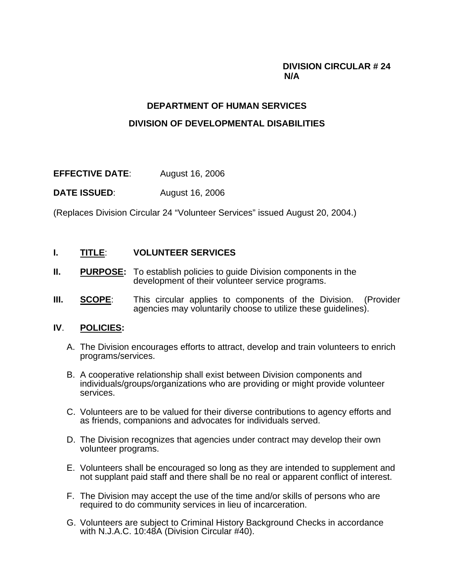### **DIVISION CIRCULAR # 24 N/A**

# **DEPARTMENT OF HUMAN SERVICES DIVISION OF DEVELOPMENTAL DISABILITIES**

**EFFECTIVE DATE**: August 16, 2006

**DATE ISSUED:** August 16, 2006

(Replaces Division Circular 24 "Volunteer Services" issued August 20, 2004.)

#### **I. TITLE**: **VOLUNTEER SERVICES**

- **II. PURPOSE:** To establish policies to guide Division components in the development of their volunteer service programs.
- **III. SCOPE**: This circular applies to components of the Division. (Provider agencies may voluntarily choose to utilize these guidelines).

#### **IV**. **POLICIES:**

- A. The Division encourages efforts to attract, develop and train volunteers to enrich programs/services.
- B. A cooperative relationship shall exist between Division components and individuals/groups/organizations who are providing or might provide volunteer services.
- C. Volunteers are to be valued for their diverse contributions to agency efforts and as friends, companions and advocates for individuals served.
- D. The Division recognizes that agencies under contract may develop their own volunteer programs.
- E. Volunteers shall be encouraged so long as they are intended to supplement and not supplant paid staff and there shall be no real or apparent conflict of interest.
- F. The Division may accept the use of the time and/or skills of persons who are required to do community services in lieu of incarceration.
- G. Volunteers are subject to Criminal History Background Checks in accordance with N.J.A.C. 10:48A (Division Circular #40).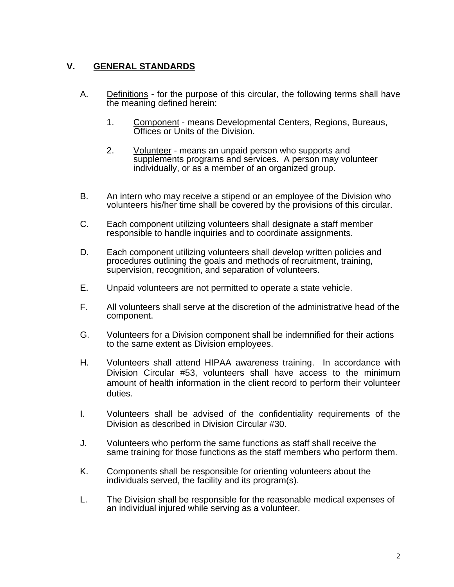## **V. GENERAL STANDARDS**

- A. Definitions for the purpose of this circular, the following terms shall have the meaning defined herein:
	- 1. Component means Developmental Centers, Regions, Bureaus, Offices or Units of the Division.
	- 2. Volunteer means an unpaid person who supports and supplements programs and services. A person may volunteer individually, or as a member of an organized group.
- B. An intern who may receive a stipend or an employee of the Division who volunteers his/her time shall be covered by the provisions of this circular.
- C. Each component utilizing volunteers shall designate a staff member responsible to handle inquiries and to coordinate assignments.
- D. Each component utilizing volunteers shall develop written policies and procedures outlining the goals and methods of recruitment, training, supervision, recognition, and separation of volunteers.
- E. Unpaid volunteers are not permitted to operate a state vehicle.
- F. All volunteers shall serve at the discretion of the administrative head of the component.
- G. Volunteers for a Division component shall be indemnified for their actions to the same extent as Division employees.
- H. Volunteers shall attend HIPAA awareness training. In accordance with Division Circular #53, volunteers shall have access to the minimum amount of health information in the client record to perform their volunteer duties.
- I. Volunteers shall be advised of the confidentiality requirements of the Division as described in Division Circular #30.
- J. Volunteers who perform the same functions as staff shall receive the same training for those functions as the staff members who perform them.
- K. Components shall be responsible for orienting volunteers about the individuals served, the facility and its program(s).
- L. The Division shall be responsible for the reasonable medical expenses of an individual injured while serving as a volunteer.